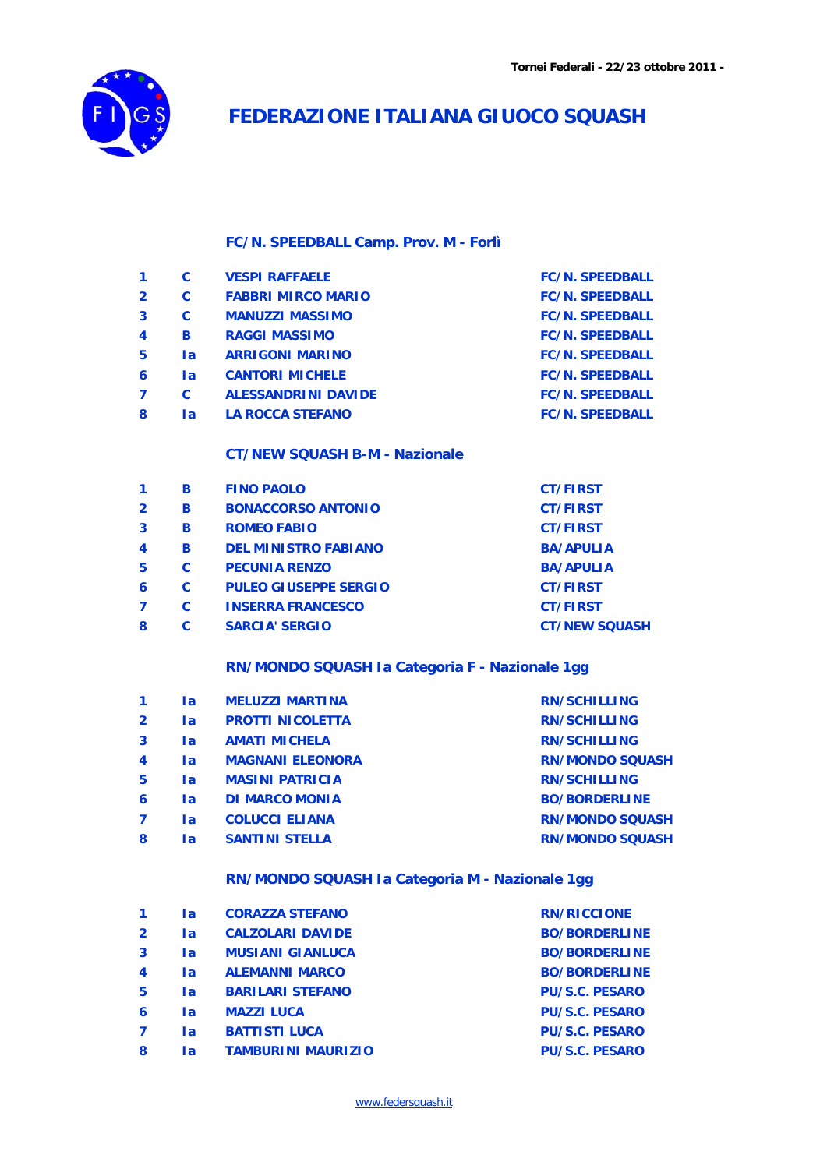

### **FEDERAZIONE ITALIANA GIUOCO SQUASH**

### **FC/N. SPEEDBALL Camp. Prov. M - Forlì**

|                  | C   | <b>VESPI RAFFAELE</b>      | <b>FC/N. SPEEDBALL</b> |
|------------------|-----|----------------------------|------------------------|
| $\overline{2}$   | C   | <b>FABBRI MIRCO MARIO</b>  | <b>FC/N. SPEEDBALL</b> |
| 3                | C   | <b>MANUZZI MASSIMO</b>     | <b>FC/N. SPEEDBALL</b> |
| $\boldsymbol{4}$ | B   | <b>RAGGI MASSIMO</b>       | <b>FC/N. SPEEDBALL</b> |
| 5                | 1a  | <b>ARRIGONI MARINO</b>     | <b>FC/N. SPEEDBALL</b> |
| 6                | la. | <b>CANTORI MICHELE</b>     | <b>FC/N. SPEEDBALL</b> |
| 7                | C   | <b>ALESSANDRINI DAVIDE</b> | <b>FC/N. SPEEDBALL</b> |
| 8                | l a | <b>LA ROCCA STEFANO</b>    | <b>FC/N. SPEEDBALL</b> |
|                  |     |                            |                        |

### **CT/NEW SQUASH B-M - Nazionale**

|                | в | <b>FINO PAOLO</b>            | <b>CT/FIRST</b>      |
|----------------|---|------------------------------|----------------------|
| $\overline{2}$ | в | <b>BONACCORSO ANTONIO</b>    | <b>CT/FIRST</b>      |
| 3              | в | <b>ROMEO FABIO</b>           | <b>CT/FIRST</b>      |
| 4              | в | <b>DEL MINISTRO FABIANO</b>  | <b>BA/APULIA</b>     |
| 5              | C | <b>PECUNIA RENZO</b>         | <b>BA/APULIA</b>     |
| 6              | C | <b>PULEO GIUSEPPE SERGIO</b> | <b>CT/FIRST</b>      |
|                | C | <b>INSERRA FRANCESCO</b>     | <b>CT/FIRST</b>      |
| 8              | С | <b>SARCIA' SERGIO</b>        | <b>CT/NEW SQUASH</b> |

#### **RN/MONDO SQUASH Ia Categoria F - Nazionale 1gg**

|                  | l a | <b>MELUZZI MARTINA</b>  | <b>RN/SCHILLING</b>    |
|------------------|-----|-------------------------|------------------------|
| $\overline{2}$   | l a | <b>PROTTI NICOLETTA</b> | <b>RN/SCHILLING</b>    |
| 3                | 1a  | <b>AMATI MICHELA</b>    | <b>RN/SCHILLING</b>    |
| $\boldsymbol{4}$ | l a | <b>MAGNANI ELEONORA</b> | <b>RN/MONDO SQUASH</b> |
| 5                | 1a  | <b>MASINI PATRICIA</b>  | <b>RN/SCHILLING</b>    |
| 6                | 1a  | <b>DI MARCO MONIA</b>   | <b>BO/BORDERLINE</b>   |
| $\overline{ }$   | l a | <b>COLUCCI ELIANA</b>   | <b>RN/MONDO SQUASH</b> |
| 8                | l a | <b>SANTINI STELLA</b>   | <b>RN/MONDO SQUASH</b> |

### **RN/MONDO SQUASH Ia Categoria M - Nazionale 1gg**

|                         | l a | <b>CORAZZA STEFANO</b>    | <b>RN/RICCIONE</b>    |
|-------------------------|-----|---------------------------|-----------------------|
| $\overline{2}$          | l a | <b>CALZOLARI DAVIDE</b>   | <b>BO/BORDERLINE</b>  |
| $\overline{\mathbf{3}}$ | 1a  | <b>MUSIANI GIANLUCA</b>   | <b>BO/BORDERLINE</b>  |
| $\boldsymbol{4}$        | l a | <b>ALEMANNI MARCO</b>     | <b>BO/BORDERLINE</b>  |
| 5                       | la  | <b>BARILARI STEFANO</b>   | <b>PU/S.C. PESARO</b> |
| 6                       | 1a  | <b>MAZZI LUCA</b>         | <b>PU/S.C. PESARO</b> |
|                         | l a | <b>BATTISTI LUCA</b>      | <b>PU/S.C. PESARO</b> |
| 8                       | l a | <b>TAMBURINI MAURIZIO</b> | <b>PU/S.C. PESARO</b> |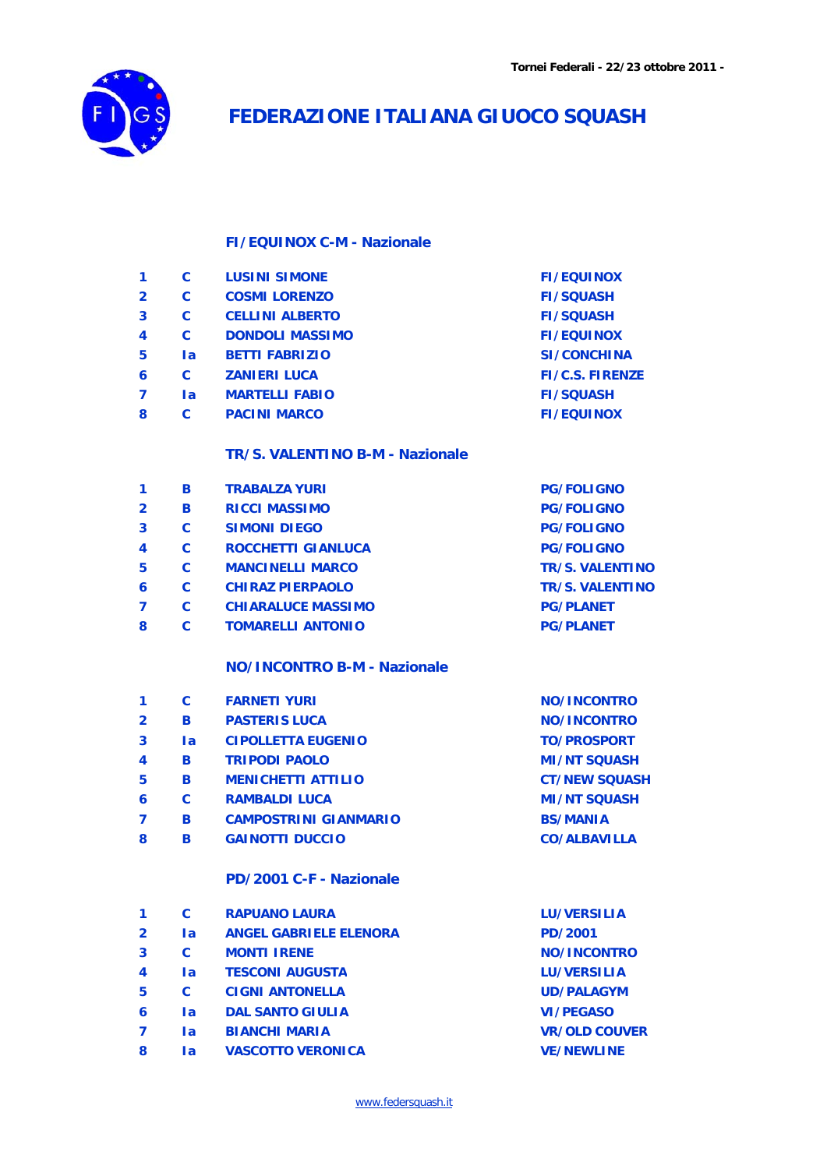

# **FEDERAZIONE ITALIANA GIUOCO SQUASH**

### **FI/EQUINOX C-M - Nazionale**

| 1              | C         | <b>LUSINI SIMONE</b>            | <b>FI/EQUINOX</b>      |
|----------------|-----------|---------------------------------|------------------------|
| $\overline{2}$ | C         | <b>COSMI LORENZO</b>            | <b>FI/SQUASH</b>       |
| 3              | C         | <b>CELLINI ALBERTO</b>          | <b>FI/SQUASH</b>       |
| 4              | C         | <b>DONDOLI MASSIMO</b>          | <b>FI/EQUINOX</b>      |
| 5              | <b>la</b> | <b>BETTI FABRIZIO</b>           | <b>SI/CONCHINA</b>     |
| 6              | C         | <b>ZANIERI LUCA</b>             | <b>FI/C.S. FIRENZE</b> |
| 7              | <b>la</b> | <b>MARTELLI FABIO</b>           | <b>FI/SQUASH</b>       |
| 8              | C         | <b>PACINI MARCO</b>             | <b>FI/EQUINOX</b>      |
|                |           | TR/S. VALENTINO B-M - Nazionale |                        |
| 1              | R         | <b>TRABALZA YURI</b>            | <b>PG/FOLIGNO</b>      |
| າ              | R         | <b>DICCL MASSIMO</b>            | <b>DC/FOLICNO</b>      |

|                | Ð        | IRADALLA IURI             | <b>FU/FULIUIVU</b>     |
|----------------|----------|---------------------------|------------------------|
| $\overline{2}$ | в        | <b>RICCI MASSIMO</b>      | <b>PG/FOLIGNO</b>      |
| 3              | C        | <b>SIMONI DIEGO</b>       | <b>PG/FOLIGNO</b>      |
| 4              | C        | <b>ROCCHETTI GIANLUCA</b> | <b>PG/FOLIGNO</b>      |
| 5              | <b>C</b> | <b>MANCINELLI MARCO</b>   | <b>TR/S. VALENTINO</b> |
| 6              | C        | <b>CHIRAZ PIERPAOLO</b>   | <b>TR/S. VALENTINO</b> |
|                | C        | <b>CHIARALUCE MASSIMO</b> | <b>PG/PLANET</b>       |
| 8              | C        | <b>TOMARELLI ANTONIO</b>  | <b>PG/PLANET</b>       |
|                |          |                           |                        |

#### **NO/INCONTRO B-M - Nazionale**

| C   | <b>FARNETI YURI</b>          | NO/INCONTRO          |
|-----|------------------------------|----------------------|
| R   | <b>PASTERIS LUCA</b>         | NO/INCONTRO          |
| l a | <b>CIPOLLETTA EUGENIO</b>    | <b>TO/PROSPORT</b>   |
| в   | <b>TRIPODI PAOLO</b>         | <b>MI/NT SQUASH</b>  |
| R   | <b>MENICHETTI ATTILIO</b>    | <b>CT/NEW SOUASH</b> |
| C   | <b>RAMBALDI LUCA</b>         | <b>MI/NT SQUASH</b>  |
| R   | <b>CAMPOSTRINI GIANMARIO</b> | <b>BS/MANIA</b>      |
| R   | <b>GAINOTTI DUCCIO</b>       | <b>CO/ALBAVILLA</b>  |
|     | PD/2001 C-F - Nazionale      |                      |
|     |                              |                      |

|                | C         | <b>RAPUANO LAURA</b>          | <b>LU/VERSILIA</b>   |
|----------------|-----------|-------------------------------|----------------------|
| $\overline{2}$ | <b>la</b> | <b>ANGEL GABRIELE ELENORA</b> | <b>PD/2001</b>       |
| 3              | C         | <b>MONTI IRENE</b>            | <b>NO/INCONTRO</b>   |
| 4              | l a       | <b>TESCONI AUGUSTA</b>        | <b>LU/VERSILIA</b>   |
| 5              | C         | <b>CIGNI ANTONELLA</b>        | <b>UD/PALAGYM</b>    |
| 6              | l a       | <b>DAL SANTO GIULIA</b>       | <b>VI/PEGASO</b>     |
|                | la.       | <b>BIANCHI MARIA</b>          | <b>VR/OLD COUVER</b> |
| 8              | la        | <b>VASCOTTO VERONICA</b>      | <b>VE/NEWLINE</b>    |
|                |           |                               |                      |